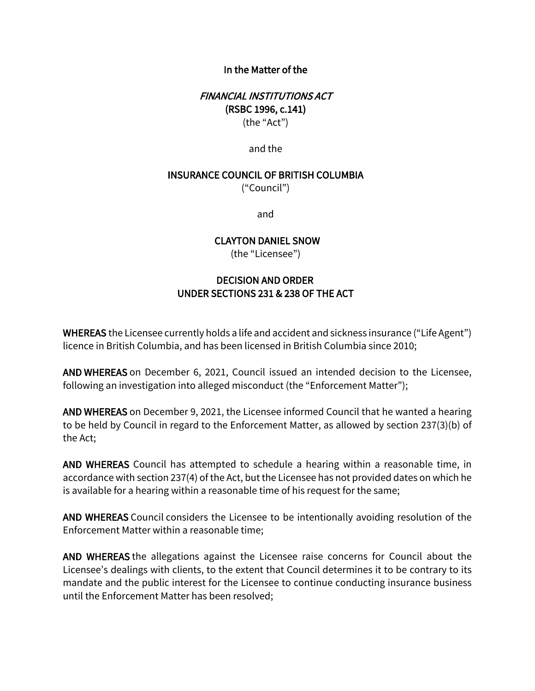### In the Matter of the

# FINANCIAL INSTITUTIONS ACT (RSBC 1996, c.141) (the "Act")

and the

#### INSURANCE COUNCIL OF BRITISH COLUMBIA

("Council")

and

### CLAYTON DANIEL SNOW

(the "Licensee")

# DECISION AND ORDER  UNDER SECTIONS 231 & 238 OF THE ACT

WHEREAS the Licensee currently holds a life and accident and sickness insurance ("Life Agent") licence in British Columbia, and has been licensed in British Columbia since 2010;

AND WHEREAS on December 6, 2021, Council issued an intended decision to the Licensee, following an investigation into alleged misconduct (the "Enforcement Matter");

AND WHEREAS on December 9, 2021, the Licensee informed Council that he wanted a hearing to be held by Council in regard to the Enforcement Matter, as allowed by section 237(3)(b) of the Act;

AND WHEREAS Council has attempted to schedule a hearing within a reasonable time, in accordance with section 237(4) of the Act, but the Licensee has not provided dates on which he is available for a hearing within a reasonable time of his request for the same;

AND WHEREAS Council considers the Licensee to be intentionally avoiding resolution of the Enforcement Matter within a reasonable time;

AND WHEREAS the allegations against the Licensee raise concerns for Council about the Licensee's dealings with clients, to the extent that Council determines it to be contrary to its mandate and the public interest for the Licensee to continue conducting insurance business until the Enforcement Matter has been resolved;